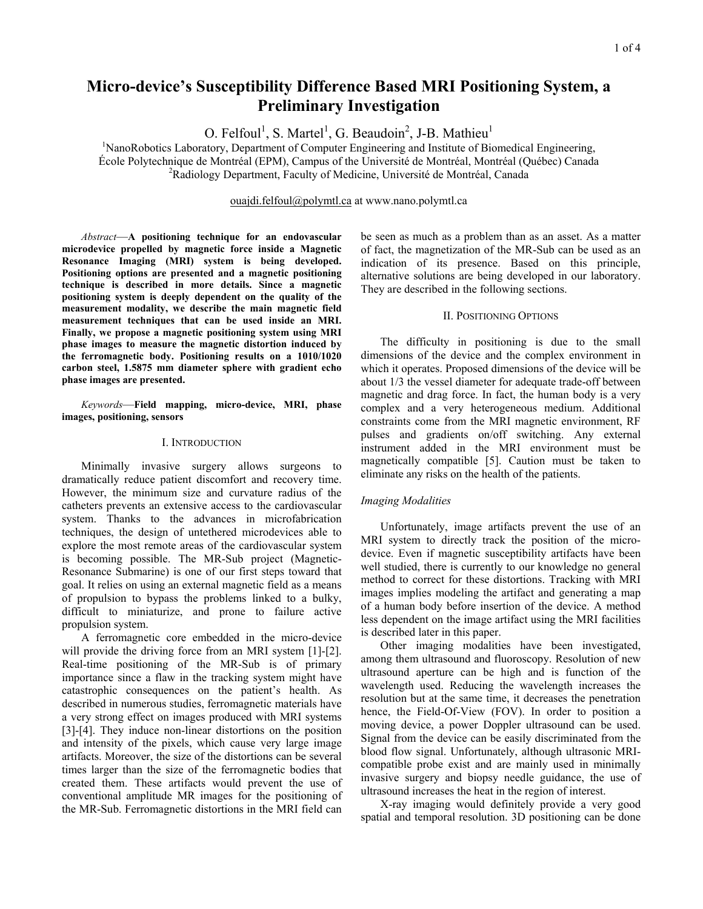# **Micro-device's Susceptibility Difference Based MRI Positioning System, a Preliminary Investigation**

O. Felfoul<sup>1</sup>, S. Martel<sup>1</sup>, G. Beaudoin<sup>2</sup>, J-B. Mathieu<sup>1</sup>

<sup>1</sup>NanoRobotics Laboratory, Department of Computer Engineering and Institute of Biomedical Engineering, …cole Polytechnique de MontrÈal (EPM), Campus of the UniversitÈ de MontrÈal, MontrÈal (QuÈbec) Canada 2 <sup>2</sup>Radiology Department, Faculty of Medicine, Université de Montréal, Canada

ouajdi.felfoul@polymtl.ca at www.nano.polymtl.ca

*Abstract*ó**A positioning technique for an endovascular microdevice propelled by magnetic force inside a Magnetic Resonance Imaging (MRI) system is being developed. Positioning options are presented and a magnetic positioning technique is described in more details. Since a magnetic positioning system is deeply dependent on the quality of the measurement modality, we describe the main magnetic field measurement techniques that can be used inside an MRI. Finally, we propose a magnetic positioning system using MRI phase images to measure the magnetic distortion induced by the ferromagnetic body. Positioning results on a 1010/1020 carbon steel, 1.5875 mm diameter sphere with gradient echo phase images are presented.** 

Keywords-Field mapping, micro-device, MRI, phase **images, positioning, sensors** 

## I. INTRODUCTION

Minimally invasive surgery allows surgeons to dramatically reduce patient discomfort and recovery time. However, the minimum size and curvature radius of the catheters prevents an extensive access to the cardiovascular system. Thanks to the advances in microfabrication techniques, the design of untethered microdevices able to explore the most remote areas of the cardiovascular system is becoming possible. The MR-Sub project (Magnetic-Resonance Submarine) is one of our first steps toward that goal. It relies on using an external magnetic field as a means of propulsion to bypass the problems linked to a bulky, difficult to miniaturize, and prone to failure active propulsion system.

A ferromagnetic core embedded in the micro-device will provide the driving force from an MRI system [1]-[2]. Real-time positioning of the MR-Sub is of primary importance since a flaw in the tracking system might have catastrophic consequences on the patient's health. As described in numerous studies, ferromagnetic materials have a very strong effect on images produced with MRI systems [3]-[4]. They induce non-linear distortions on the position and intensity of the pixels, which cause very large image artifacts. Moreover, the size of the distortions can be several times larger than the size of the ferromagnetic bodies that created them. These artifacts would prevent the use of conventional amplitude MR images for the positioning of the MR-Sub. Ferromagnetic distortions in the MRI field can be seen as much as a problem than as an asset. As a matter of fact, the magnetization of the MR-Sub can be used as an indication of its presence. Based on this principle, alternative solutions are being developed in our laboratory. They are described in the following sections.

## II. POSITIONING OPTIONS

The difficulty in positioning is due to the small dimensions of the device and the complex environment in which it operates. Proposed dimensions of the device will be about 1/3 the vessel diameter for adequate trade-off between magnetic and drag force. In fact, the human body is a very complex and a very heterogeneous medium. Additional constraints come from the MRI magnetic environment, RF pulses and gradients on/off switching. Any external instrument added in the MRI environment must be magnetically compatible [5]. Caution must be taken to eliminate any risks on the health of the patients.

## *Imaging Modalities*

Unfortunately, image artifacts prevent the use of an MRI system to directly track the position of the microdevice. Even if magnetic susceptibility artifacts have been well studied, there is currently to our knowledge no general method to correct for these distortions. Tracking with MRI images implies modeling the artifact and generating a map of a human body before insertion of the device. A method less dependent on the image artifact using the MRI facilities is described later in this paper.

Other imaging modalities have been investigated, among them ultrasound and fluoroscopy. Resolution of new ultrasound aperture can be high and is function of the wavelength used. Reducing the wavelength increases the resolution but at the same time, it decreases the penetration hence, the Field-Of-View (FOV). In order to position a moving device, a power Doppler ultrasound can be used. Signal from the device can be easily discriminated from the blood flow signal. Unfortunately, although ultrasonic MRIcompatible probe exist and are mainly used in minimally invasive surgery and biopsy needle guidance, the use of ultrasound increases the heat in the region of interest.

X-ray imaging would definitely provide a very good spatial and temporal resolution. 3D positioning can be done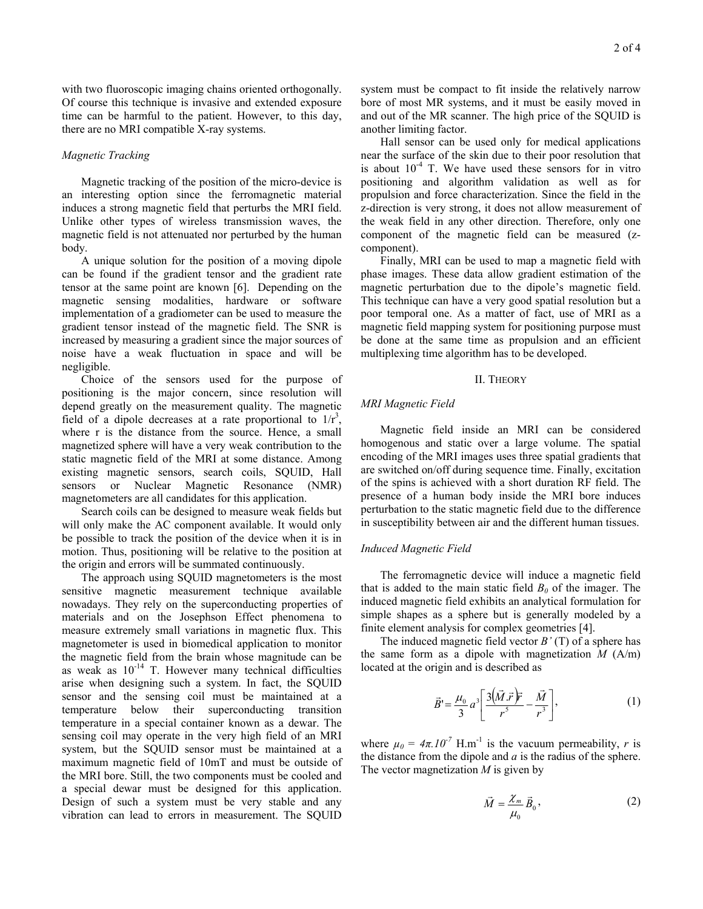with two fluoroscopic imaging chains oriented orthogonally. Of course this technique is invasive and extended exposure time can be harmful to the patient. However, to this day, there are no MRI compatible X-ray systems.

#### *Magnetic Tracking*

Magnetic tracking of the position of the micro-device is an interesting option since the ferromagnetic material induces a strong magnetic field that perturbs the MRI field. Unlike other types of wireless transmission waves, the magnetic field is not attenuated nor perturbed by the human body.

A unique solution for the position of a moving dipole can be found if the gradient tensor and the gradient rate tensor at the same point are known [6]. Depending on the magnetic sensing modalities, hardware or software implementation of a gradiometer can be used to measure the gradient tensor instead of the magnetic field. The SNR is increased by measuring a gradient since the major sources of noise have a weak fluctuation in space and will be negligible.

Choice of the sensors used for the purpose of positioning is the major concern, since resolution will depend greatly on the measurement quality. The magnetic field of a dipole decreases at a rate proportional to  $1/r<sup>3</sup>$ , where r is the distance from the source. Hence, a small magnetized sphere will have a very weak contribution to the static magnetic field of the MRI at some distance. Among existing magnetic sensors, search coils, SQUID, Hall sensors or Nuclear Magnetic Resonance (NMR) magnetometers are all candidates for this application.

Search coils can be designed to measure weak fields but will only make the AC component available. It would only be possible to track the position of the device when it is in motion. Thus, positioning will be relative to the position at the origin and errors will be summated continuously.

The approach using SQUID magnetometers is the most sensitive magnetic measurement technique available nowadays. They rely on the superconducting properties of materials and on the Josephson Effect phenomena to measure extremely small variations in magnetic flux. This magnetometer is used in biomedical application to monitor the magnetic field from the brain whose magnitude can be as weak as  $10^{-14}$  T. However many technical difficulties arise when designing such a system. In fact, the SQUID sensor and the sensing coil must be maintained at a temperature below their superconducting transition temperature in a special container known as a dewar. The sensing coil may operate in the very high field of an MRI system, but the SQUID sensor must be maintained at a maximum magnetic field of 10mT and must be outside of the MRI bore. Still, the two components must be cooled and a special dewar must be designed for this application. Design of such a system must be very stable and any vibration can lead to errors in measurement. The SQUID

system must be compact to fit inside the relatively narrow bore of most MR systems, and it must be easily moved in and out of the MR scanner. The high price of the SQUID is another limiting factor.

Hall sensor can be used only for medical applications near the surface of the skin due to their poor resolution that is about  $10^{-4}$  T. We have used these sensors for in vitro positioning and algorithm validation as well as for propulsion and force characterization. Since the field in the z-direction is very strong, it does not allow measurement of the weak field in any other direction. Therefore, only one component of the magnetic field can be measured (zcomponent).

Finally, MRI can be used to map a magnetic field with phase images. These data allow gradient estimation of the magnetic perturbation due to the dipole's magnetic field. This technique can have a very good spatial resolution but a poor temporal one. As a matter of fact, use of MRI as a magnetic field mapping system for positioning purpose must be done at the same time as propulsion and an efficient multiplexing time algorithm has to be developed.

## II. THEORY

## *MRI Magnetic Field*

Magnetic field inside an MRI can be considered homogenous and static over a large volume. The spatial encoding of the MRI images uses three spatial gradients that are switched on/off during sequence time. Finally, excitation of the spins is achieved with a short duration RF field. The presence of a human body inside the MRI bore induces perturbation to the static magnetic field due to the difference in susceptibility between air and the different human tissues.

## *Induced Magnetic Field*

 The ferromagnetic device will induce a magnetic field that is added to the main static field  $B_0$  of the imager. The induced magnetic field exhibits an analytical formulation for simple shapes as a sphere but is generally modeled by a finite element analysis for complex geometries [4].

The induced magnetic field vector *B'* (T) of a sphere has the same form as a dipole with magnetization *M* (A/m) located at the origin and is described as

$$
\vec{B} = \frac{\mu_0}{3} a^3 \left[ \frac{3(\vec{M} \cdot \vec{r}) \vec{r}}{r^5} - \frac{\vec{M}}{r^3} \right],
$$
 (1)

where  $\mu_0 = 4\pi I0^{-7}$  H.m<sup>-1</sup> is the vacuum permeability, *r* is the distance from the dipole and  $a$  is the radius of the sphere. The vector magnetization *M* is given by

$$
\vec{M} = \frac{\chi_m}{\mu_0} \vec{B}_0, \qquad (2)
$$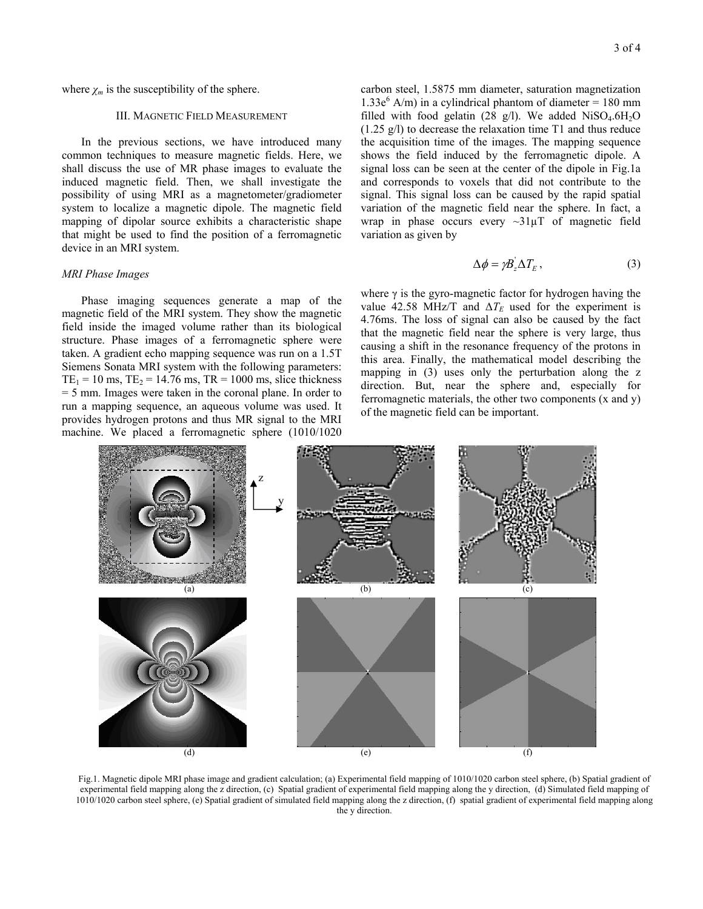#### III. MAGNETIC FIELD MEASUREMENT

In the previous sections, we have introduced many common techniques to measure magnetic fields. Here, we shall discuss the use of MR phase images to evaluate the induced magnetic field. Then, we shall investigate the possibility of using MRI as a magnetometer/gradiometer system to localize a magnetic dipole. The magnetic field mapping of dipolar source exhibits a characteristic shape that might be used to find the position of a ferromagnetic device in an MRI system.

#### *MRI Phase Images*

Phase imaging sequences generate a map of the magnetic field of the MRI system. They show the magnetic field inside the imaged volume rather than its biological structure. Phase images of a ferromagnetic sphere were taken. A gradient echo mapping sequence was run on a 1.5T Siemens Sonata MRI system with the following parameters:  $TE_1 = 10$  ms,  $TE_2 = 14.76$  ms,  $TR = 1000$  ms, slice thickness = 5 mm. Images were taken in the coronal plane. In order to run a mapping sequence, an aqueous volume was used. It provides hydrogen protons and thus MR signal to the MRI machine. We placed a ferromagnetic sphere (1010/1020

carbon steel, 1.5875 mm diameter, saturation magnetization  $1.33e^6$  A/m) in a cylindrical phantom of diameter = 180 mm filled with food gelatin (28 g/l). We added  $NiSO<sub>4</sub>.6H<sub>2</sub>O$ (1.25 g/l) to decrease the relaxation time T1 and thus reduce the acquisition time of the images. The mapping sequence shows the field induced by the ferromagnetic dipole. A signal loss can be seen at the center of the dipole in Fig.1a and corresponds to voxels that did not contribute to the signal. This signal loss can be caused by the rapid spatial variation of the magnetic field near the sphere. In fact, a wrap in phase occurs every  $\sim 31 \mu T$  of magnetic field variation as given by

$$
\Delta \phi = \gamma B_z \Delta T_E, \qquad (3)
$$

where  $\gamma$  is the gyro-magnetic factor for hydrogen having the value 42.58 MHz/T and  $\Delta T_E$  used for the experiment is 4.76ms. The loss of signal can also be caused by the fact that the magnetic field near the sphere is very large, thus causing a shift in the resonance frequency of the protons in this area. Finally, the mathematical model describing the mapping in (3) uses only the perturbation along the z direction. But, near the sphere and, especially for ferromagnetic materials, the other two components (x and y) of the magnetic field can be important.



Fig.1. Magnetic dipole MRI phase image and gradient calculation; (a) Experimental field mapping of 1010/1020 carbon steel sphere, (b) Spatial gradient of experimental field mapping along the z direction, (c) Spatial gradient of experimental field mapping along the y direction, (d) Simulated field mapping of 1010/1020 carbon steel sphere, (e) Spatial gradient of simulated field mapping along the z direction, (f) spatial gradient of experimental field mapping along the y direction.